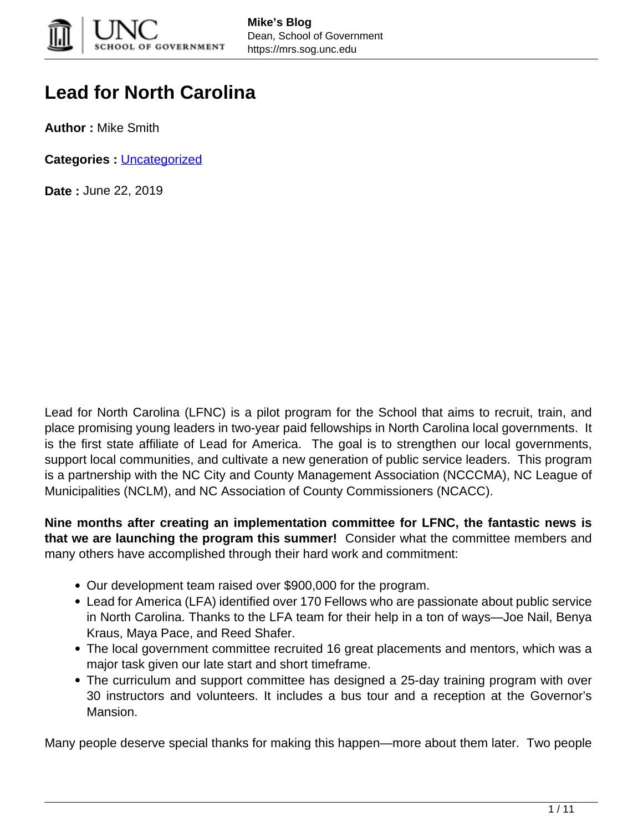

# **Lead for North Carolina**

**Author :** Mike Smith

**Categories :** [Uncategorized](https://mrs.sog.unc.edu/category/uncategorized/)

**Date :** June 22, 2019

Lead for North Carolina (LFNC) is a pilot program for the School that aims to recruit, train, and place promising young leaders in two-year paid fellowships in North Carolina local governments. It is the first state affiliate of Lead for America. The goal is to strengthen our local governments, support local communities, and cultivate a new generation of public service leaders. This program is a partnership with the NC City and County Management Association (NCCCMA), NC League of Municipalities (NCLM), and NC Association of County Commissioners (NCACC).

**Nine months after creating an implementation committee for LFNC, the fantastic news is that we are launching the program this summer!** Consider what the committee members and many others have accomplished through their hard work and commitment:

- Our development team raised over \$900,000 for the program.
- Lead for America (LFA) identified over 170 Fellows who are passionate about public service in North Carolina. Thanks to the LFA team for their help in a ton of ways—Joe Nail, Benya Kraus, Maya Pace, and Reed Shafer.
- The local government committee recruited 16 great placements and mentors, which was a major task given our late start and short timeframe.
- The curriculum and support committee has designed a 25-day training program with over 30 instructors and volunteers. It includes a bus tour and a reception at the Governor's Mansion.

Many people deserve special thanks for making this happen—more about them later. Two people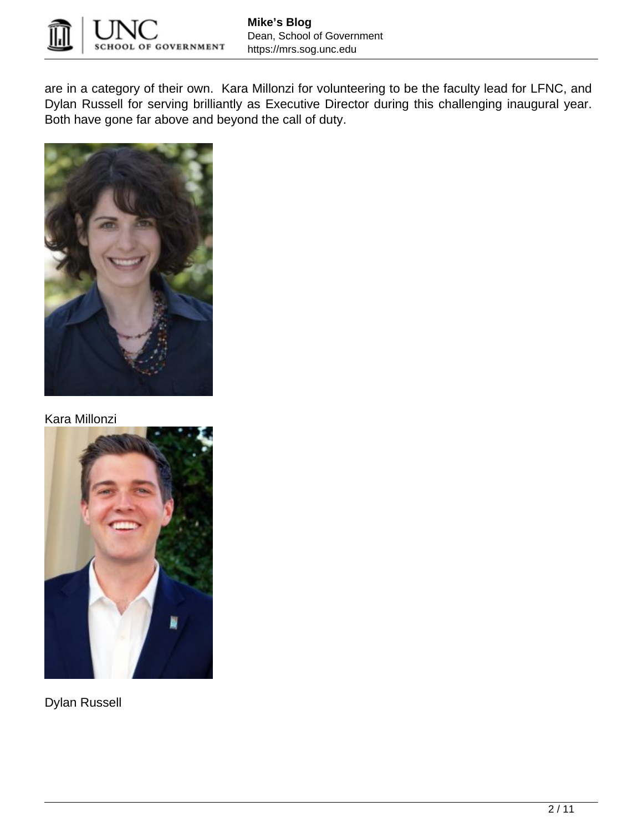

are in a category of their own. Kara Millonzi for volunteering to be the faculty lead for LFNC, and Dylan Russell for serving brilliantly as Executive Director during this challenging inaugural year. Both have gone far above and beyond the call of duty.



Kara Millonzi



Dylan Russell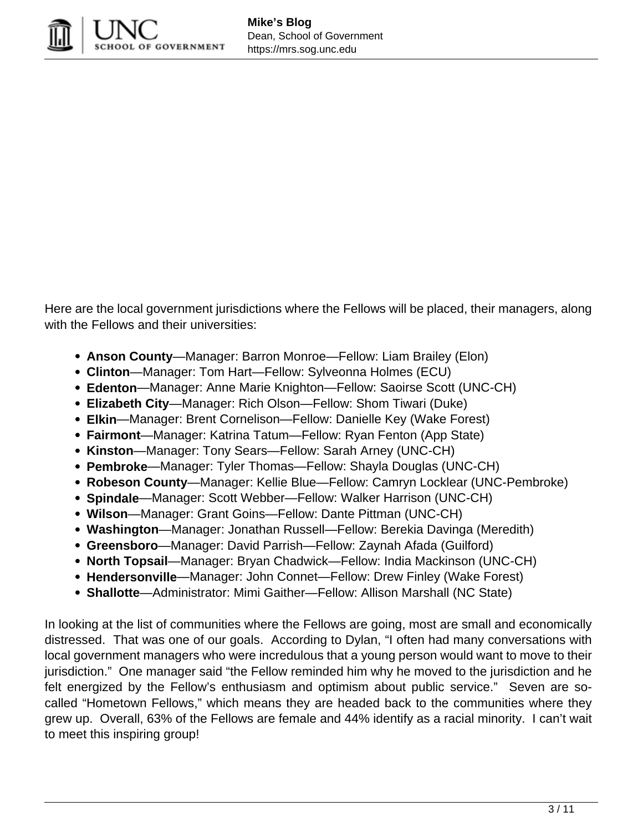

Here are the local government jurisdictions where the Fellows will be placed, their managers, along with the Fellows and their universities:

- **Anson County**—Manager: Barron Monroe—Fellow: Liam Brailey (Elon)
- **Clinton**—Manager: Tom Hart—Fellow: Sylveonna Holmes (ECU)
- **Edenton**—Manager: Anne Marie Knighton—Fellow: Saoirse Scott (UNC-CH)
- **Elizabeth City**—Manager: Rich Olson—Fellow: Shom Tiwari (Duke)
- **Elkin**—Manager: Brent Cornelison—Fellow: Danielle Key (Wake Forest)
- **Fairmont**—Manager: Katrina Tatum—Fellow: Ryan Fenton (App State)
- **Kinston**—Manager: Tony Sears—Fellow: Sarah Arney (UNC-CH)
- **Pembroke**—Manager: Tyler Thomas—Fellow: Shayla Douglas (UNC-CH)
- **Robeson County**—Manager: Kellie Blue—Fellow: Camryn Locklear (UNC-Pembroke)
- **Spindale**—Manager: Scott Webber—Fellow: Walker Harrison (UNC-CH)
- **Wilson**—Manager: Grant Goins—Fellow: Dante Pittman (UNC-CH)
- **Washington**—Manager: Jonathan Russell—Fellow: Berekia Davinga (Meredith)
- **Greensboro**—Manager: David Parrish—Fellow: Zaynah Afada (Guilford)
- **North Topsail**—Manager: Bryan Chadwick—Fellow: India Mackinson (UNC-CH)
- **Hendersonville**—Manager: John Connet—Fellow: Drew Finley (Wake Forest)
- **Shallotte**—Administrator: Mimi Gaither—Fellow: Allison Marshall (NC State)

In looking at the list of communities where the Fellows are going, most are small and economically distressed. That was one of our goals. According to Dylan, "I often had many conversations with local government managers who were incredulous that a young person would want to move to their jurisdiction." One manager said "the Fellow reminded him why he moved to the jurisdiction and he felt energized by the Fellow's enthusiasm and optimism about public service." Seven are socalled "Hometown Fellows," which means they are headed back to the communities where they grew up. Overall, 63% of the Fellows are female and 44% identify as a racial minority. I can't wait to meet this inspiring group!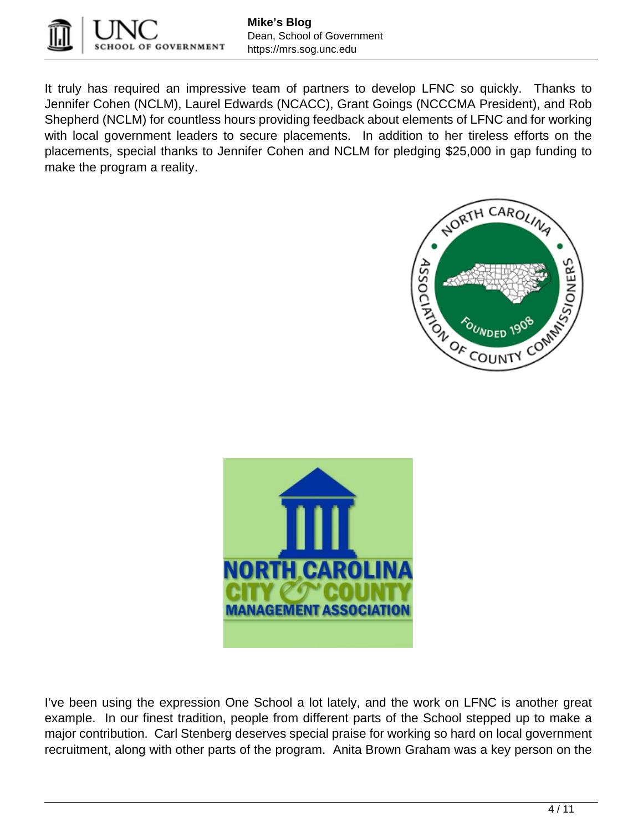

It truly has required an impressive team of partners to develop LFNC so quickly. Thanks to Jennifer Cohen (NCLM), Laurel Edwards (NCACC), Grant Goings (NCCCMA President), and Rob Shepherd (NCLM) for countless hours providing feedback about elements of LFNC and for working with local government leaders to secure placements. In addition to her tireless efforts on the placements, special thanks to Jennifer Cohen and NCLM for pledging \$25,000 in gap funding to make the program a reality.





I've been using the expression One School a lot lately, and the work on LFNC is another great example. In our finest tradition, people from different parts of the School stepped up to make a major contribution. Carl Stenberg deserves special praise for working so hard on local government recruitment, along with other parts of the program. Anita Brown Graham was a key person on the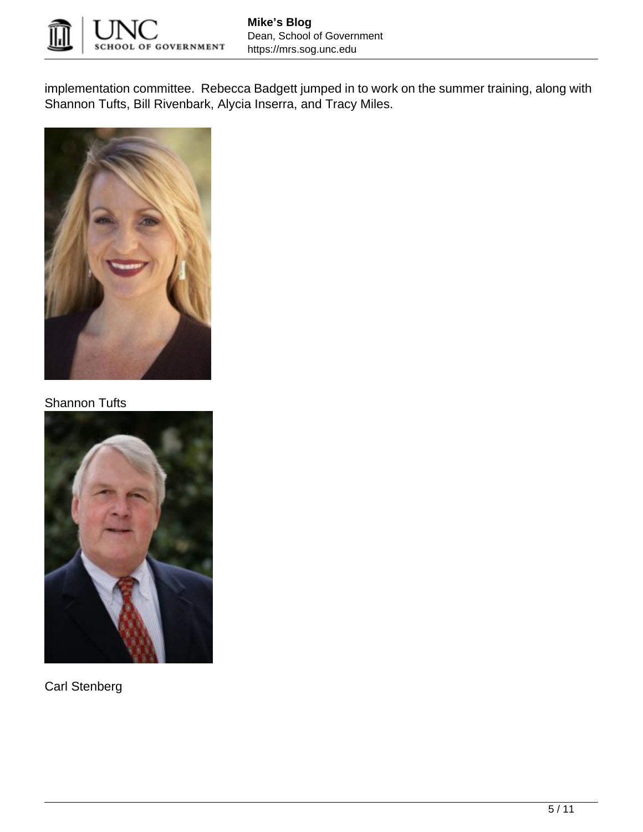

implementation committee. Rebecca Badgett jumped in to work on the summer training, along with Shannon Tufts, Bill Rivenbark, Alycia Inserra, and Tracy Miles.



### Shannon Tufts



Carl Stenberg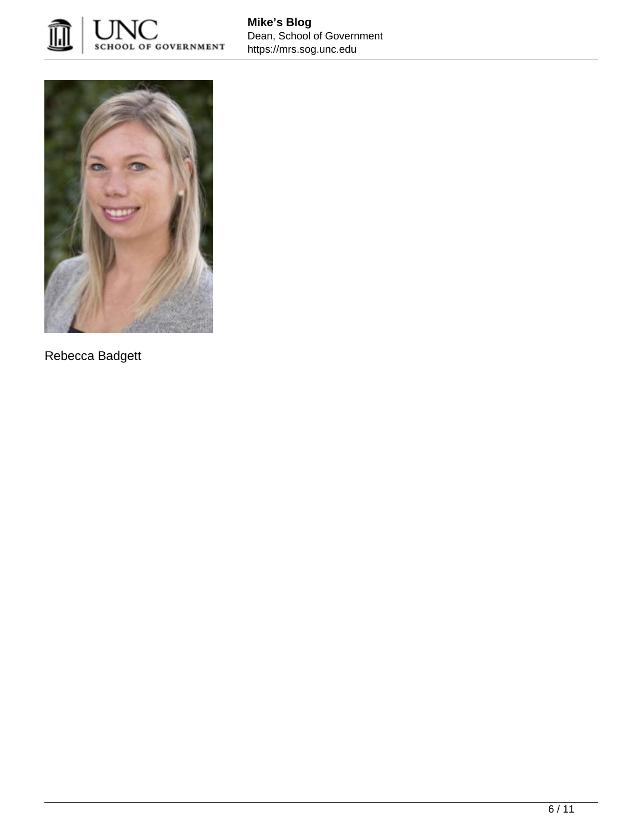



Rebecca Badgett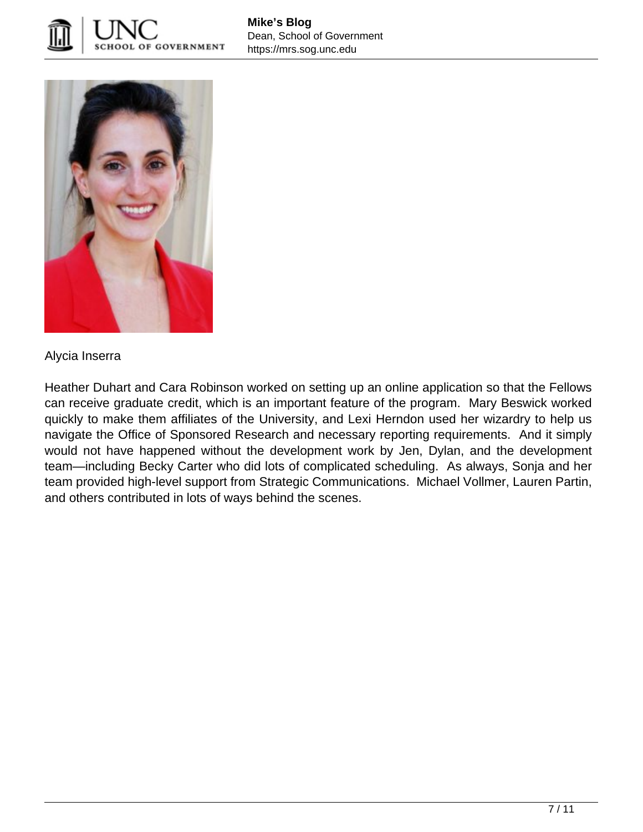



### Alycia Inserra

Heather Duhart and Cara Robinson worked on setting up an online application so that the Fellows can receive graduate credit, which is an important feature of the program. Mary Beswick worked quickly to make them affiliates of the University, and Lexi Herndon used her wizardry to help us navigate the Office of Sponsored Research and necessary reporting requirements. And it simply would not have happened without the development work by Jen, Dylan, and the development team—including Becky Carter who did lots of complicated scheduling. As always, Sonja and her team provided high-level support from Strategic Communications. Michael Vollmer, Lauren Partin, and others contributed in lots of ways behind the scenes.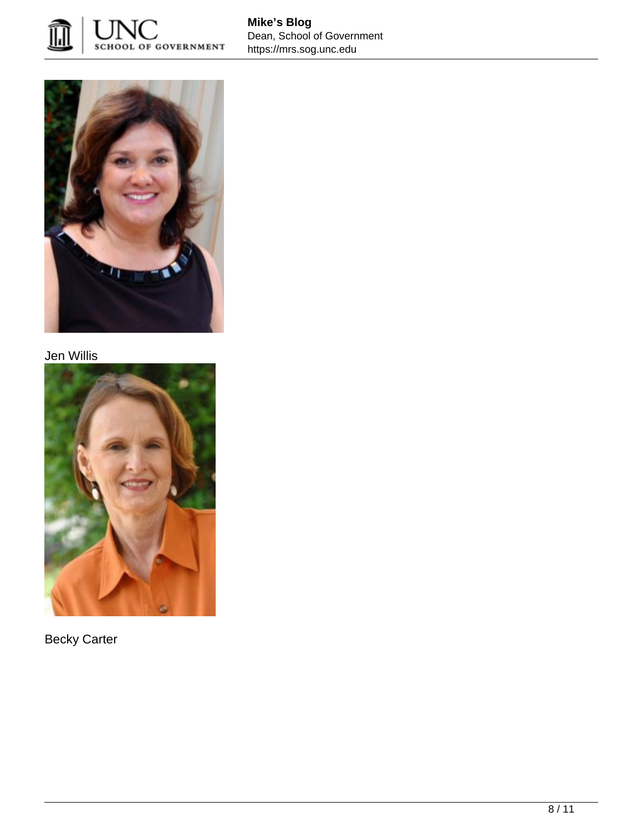

**Mike's Blog** Dean, School of Government https://mrs.sog.unc.edu



## Jen Willis



Becky Carter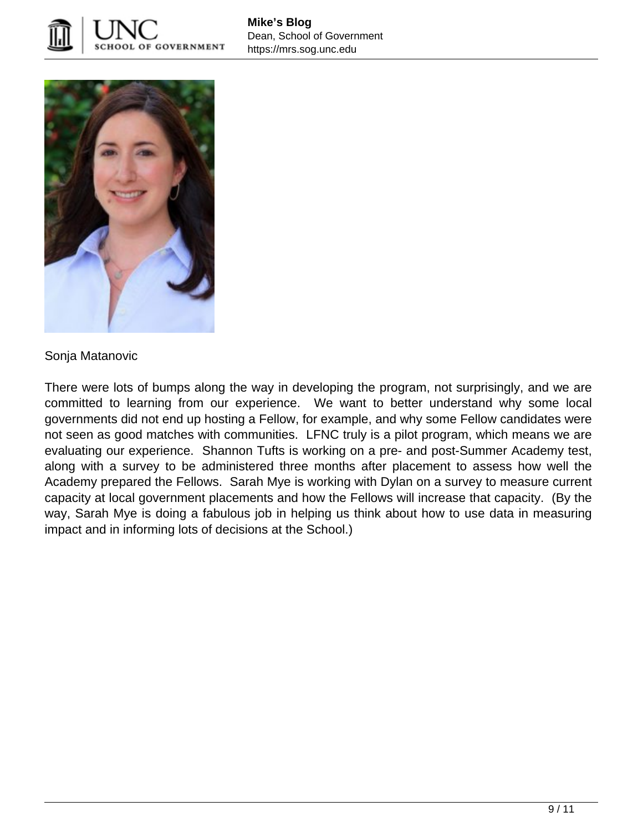



Sonja Matanovic

There were lots of bumps along the way in developing the program, not surprisingly, and we are committed to learning from our experience. We want to better understand why some local governments did not end up hosting a Fellow, for example, and why some Fellow candidates were not seen as good matches with communities. LFNC truly is a pilot program, which means we are evaluating our experience. Shannon Tufts is working on a pre- and post-Summer Academy test, along with a survey to be administered three months after placement to assess how well the Academy prepared the Fellows. Sarah Mye is working with Dylan on a survey to measure current capacity at local government placements and how the Fellows will increase that capacity. (By the way, Sarah Mye is doing a fabulous job in helping us think about how to use data in measuring impact and in informing lots of decisions at the School.)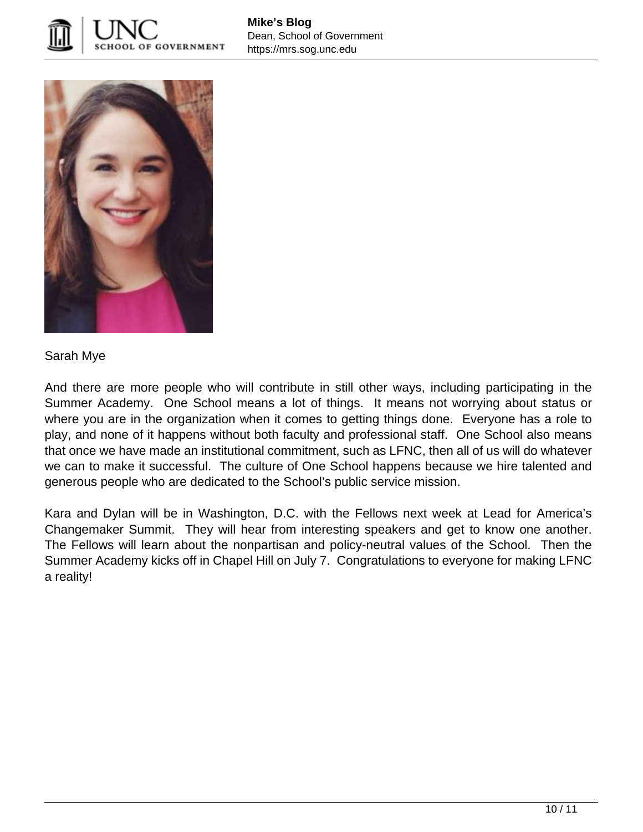



#### Sarah Mye

And there are more people who will contribute in still other ways, including participating in the Summer Academy. One School means a lot of things. It means not worrying about status or where you are in the organization when it comes to getting things done. Everyone has a role to play, and none of it happens without both faculty and professional staff. One School also means that once we have made an institutional commitment, such as LFNC, then all of us will do whatever we can to make it successful. The culture of One School happens because we hire talented and generous people who are dedicated to the School's public service mission.

Kara and Dylan will be in Washington, D.C. with the Fellows next week at Lead for America's Changemaker Summit. They will hear from interesting speakers and get to know one another. The Fellows will learn about the nonpartisan and policy-neutral values of the School. Then the Summer Academy kicks off in Chapel Hill on July 7. Congratulations to everyone for making LFNC a reality!